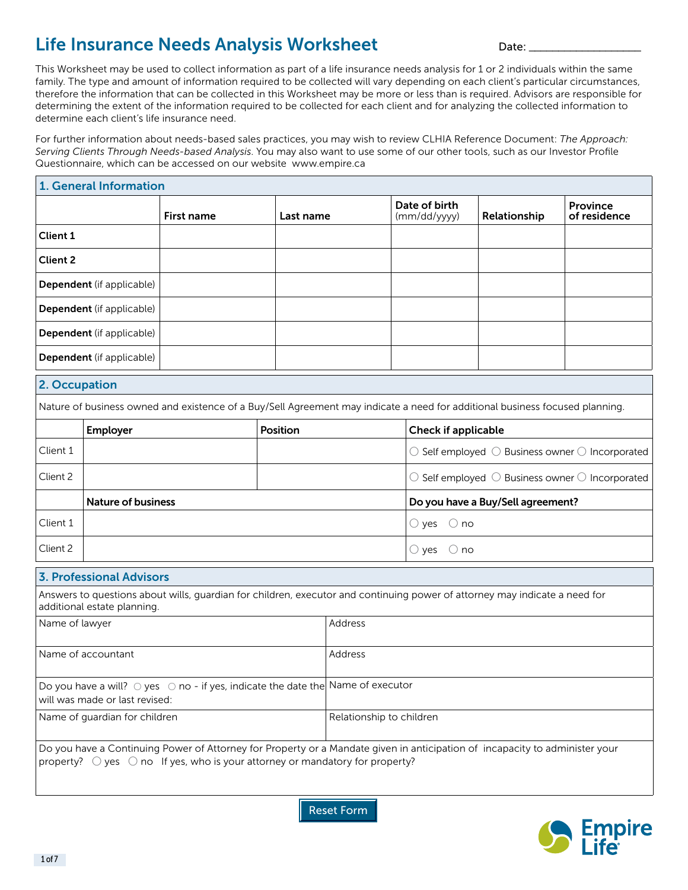# Life Insurance Needs Analysis Worksheet **Date:** Letter Date:

This Worksheet may be used to collect information as part of a life insurance needs analysis for 1 or 2 individuals within the same family. The type and amount of information required to be collected will vary depending on each client's particular circumstances, therefore the information that can be collected in this Worksheet may be more or less than is required. Advisors are responsible for determining the extent of the information required to be collected for each client and for analyzing the collected information to determine each client's life insurance need.

For further information about needs-based sales practices, you may wish to review CLHIA Reference Document: *The Approach: Serving Clients Through Needs-based Analysis*. You may also want to use some of our other tools, such as our Investor Profile Questionnaire, which can be accessed on our website www.empire.ca

|                                                                                                                               | 1. General Information                                                                                                                                                                                                        |                                                                                                                              |                          |         |                                 |                                                                            |                                                                            |  |
|-------------------------------------------------------------------------------------------------------------------------------|-------------------------------------------------------------------------------------------------------------------------------------------------------------------------------------------------------------------------------|------------------------------------------------------------------------------------------------------------------------------|--------------------------|---------|---------------------------------|----------------------------------------------------------------------------|----------------------------------------------------------------------------|--|
|                                                                                                                               |                                                                                                                                                                                                                               | First name                                                                                                                   | Last name                |         | Date of birth<br>(mm/dd/yyyy)   | Relationship                                                               | <b>Province</b><br>of residence                                            |  |
| Client 1                                                                                                                      |                                                                                                                                                                                                                               |                                                                                                                              |                          |         |                                 |                                                                            |                                                                            |  |
| <b>Client 2</b>                                                                                                               |                                                                                                                                                                                                                               |                                                                                                                              |                          |         |                                 |                                                                            |                                                                            |  |
|                                                                                                                               | Dependent (if applicable)                                                                                                                                                                                                     |                                                                                                                              |                          |         |                                 |                                                                            |                                                                            |  |
|                                                                                                                               | Dependent (if applicable)                                                                                                                                                                                                     |                                                                                                                              |                          |         |                                 |                                                                            |                                                                            |  |
|                                                                                                                               | Dependent (if applicable)                                                                                                                                                                                                     |                                                                                                                              |                          |         |                                 |                                                                            |                                                                            |  |
|                                                                                                                               | Dependent (if applicable)                                                                                                                                                                                                     |                                                                                                                              |                          |         |                                 |                                                                            |                                                                            |  |
| 2. Occupation                                                                                                                 |                                                                                                                                                                                                                               |                                                                                                                              |                          |         |                                 |                                                                            |                                                                            |  |
|                                                                                                                               |                                                                                                                                                                                                                               | Nature of business owned and existence of a Buy/Sell Agreement may indicate a need for additional business focused planning. |                          |         |                                 |                                                                            |                                                                            |  |
|                                                                                                                               | Employer                                                                                                                                                                                                                      |                                                                                                                              | Position                 |         | Check if applicable             |                                                                            |                                                                            |  |
| Client 1                                                                                                                      |                                                                                                                                                                                                                               |                                                                                                                              |                          |         |                                 |                                                                            | $\bigcirc$ Self employed $\bigcirc$ Business owner $\bigcirc$ Incorporated |  |
| Client 2                                                                                                                      |                                                                                                                                                                                                                               |                                                                                                                              |                          |         |                                 | $\bigcirc$ Self employed $\bigcirc$ Business owner $\bigcirc$ Incorporated |                                                                            |  |
|                                                                                                                               | <b>Nature of business</b>                                                                                                                                                                                                     |                                                                                                                              |                          |         |                                 | Do you have a Buy/Sell agreement?                                          |                                                                            |  |
| Client 1                                                                                                                      |                                                                                                                                                                                                                               |                                                                                                                              |                          |         | $\bigcirc$ no<br>$\bigcirc$ yes |                                                                            |                                                                            |  |
| Client 2                                                                                                                      |                                                                                                                                                                                                                               |                                                                                                                              |                          |         | $\bigcirc$ yes<br>$\bigcirc$ no |                                                                            |                                                                            |  |
|                                                                                                                               | <b>3. Professional Advisors</b>                                                                                                                                                                                               |                                                                                                                              |                          |         |                                 |                                                                            |                                                                            |  |
|                                                                                                                               | additional estate planning.                                                                                                                                                                                                   | Answers to questions about wills, guardian for children, executor and continuing power of attorney may indicate a need for   |                          |         |                                 |                                                                            |                                                                            |  |
| Name of lawyer                                                                                                                |                                                                                                                                                                                                                               |                                                                                                                              |                          | Address |                                 |                                                                            |                                                                            |  |
| Name of accountant                                                                                                            |                                                                                                                                                                                                                               |                                                                                                                              | Address                  |         |                                 |                                                                            |                                                                            |  |
| Do you have a will? $\circ$ yes $\circ$ no - if yes, indicate the date the Name of executor<br>will was made or last revised: |                                                                                                                                                                                                                               |                                                                                                                              |                          |         |                                 |                                                                            |                                                                            |  |
| Name of guardian for children                                                                                                 |                                                                                                                                                                                                                               |                                                                                                                              | Relationship to children |         |                                 |                                                                            |                                                                            |  |
|                                                                                                                               | Do you have a Continuing Power of Attorney for Property or a Mandate given in anticipation of incapacity to administer your<br>property? $\bigcirc$ yes $\bigcirc$ no If yes, who is your attorney or mandatory for property? |                                                                                                                              |                          |         |                                 |                                                                            |                                                                            |  |

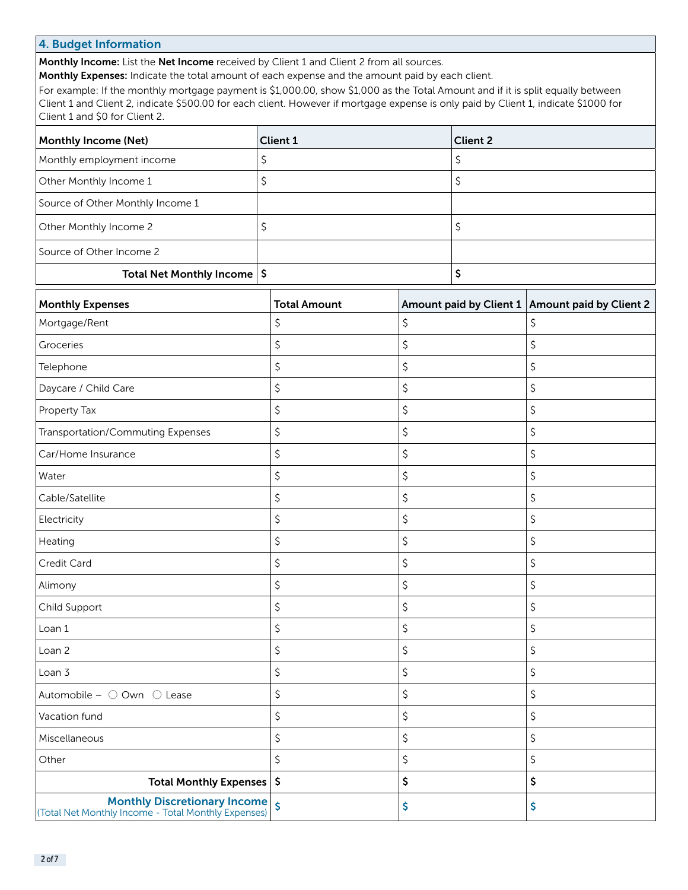# 4. Budget Information

Monthly Income: List the Net Income received by Client 1 and Client 2 from all sources.

Monthly Expenses: Indicate the total amount of each expense and the amount paid by each client.

For example: If the monthly mortgage payment is \$1,000.00, show \$1,000 as the Total Amount and if it is split equally between Client 1 and Client 2, indicate \$500.00 for each client. However if mortgage expense is only paid by Client 1, indicate \$1000 for Client 1 and \$0 for Client 2.

| <b>Monthly Income (Net)</b>            | Client 1 | <b>Client 2</b> |
|----------------------------------------|----------|-----------------|
| Monthly employment income              |          |                 |
| Other Monthly Income 1                 |          |                 |
| Source of Other Monthly Income 1       |          |                 |
| Other Monthly Income 2                 |          |                 |
| Source of Other Income 2               |          |                 |
| Total Net Monthly Income $\frac{1}{5}$ |          |                 |

| <b>Monthly Expenses</b>                                                                    | <b>Total Amount</b>     | Amount paid by Client 1 Amount paid by Client 2 |
|--------------------------------------------------------------------------------------------|-------------------------|-------------------------------------------------|
| Mortgage/Rent                                                                              | \$                      | \$<br>\$                                        |
| Groceries                                                                                  | \$                      | \$<br>\$                                        |
| Telephone                                                                                  | \$                      | \$<br>\$                                        |
| Daycare / Child Care                                                                       | \$                      | \$<br>\$                                        |
| Property Tax                                                                               | \$                      | \$<br>\$                                        |
| <b>Transportation/Commuting Expenses</b>                                                   | \$                      | \$<br>\$                                        |
| Car/Home Insurance                                                                         | \$                      | \$<br>\$                                        |
| Water                                                                                      | \$                      | \$<br>\$                                        |
| Cable/Satellite                                                                            | \$                      | \$<br>\$                                        |
| Electricity                                                                                | \$                      | \$<br>\$                                        |
| Heating                                                                                    | \$                      | \$<br>\$                                        |
| Credit Card                                                                                | \$                      | \$<br>\$                                        |
| Alimony                                                                                    | \$                      | \$<br>\$                                        |
| Child Support                                                                              | \$                      | \$<br>\$                                        |
| Loan 1                                                                                     | \$                      | \$<br>\$                                        |
| Loan 2                                                                                     | \$                      | \$<br>\$                                        |
| Loan 3                                                                                     | \$                      | \$<br>\$                                        |
| Automobile - ○ Own ○ Lease                                                                 | \$                      | \$<br>\$                                        |
| Vacation fund                                                                              | \$                      | \$<br>\$                                        |
| Miscellaneous                                                                              | \$                      | \$<br>\$                                        |
| Other                                                                                      | \$                      | \$<br>\$                                        |
| <b>Total Monthly Expenses</b>                                                              | \$                      | \$<br>\$                                        |
| <b>Monthly Discretionary Income</b><br>(Total Net Monthly Income - Total Monthly Expenses) | $\overline{\mathsf{s}}$ | \$<br>\$                                        |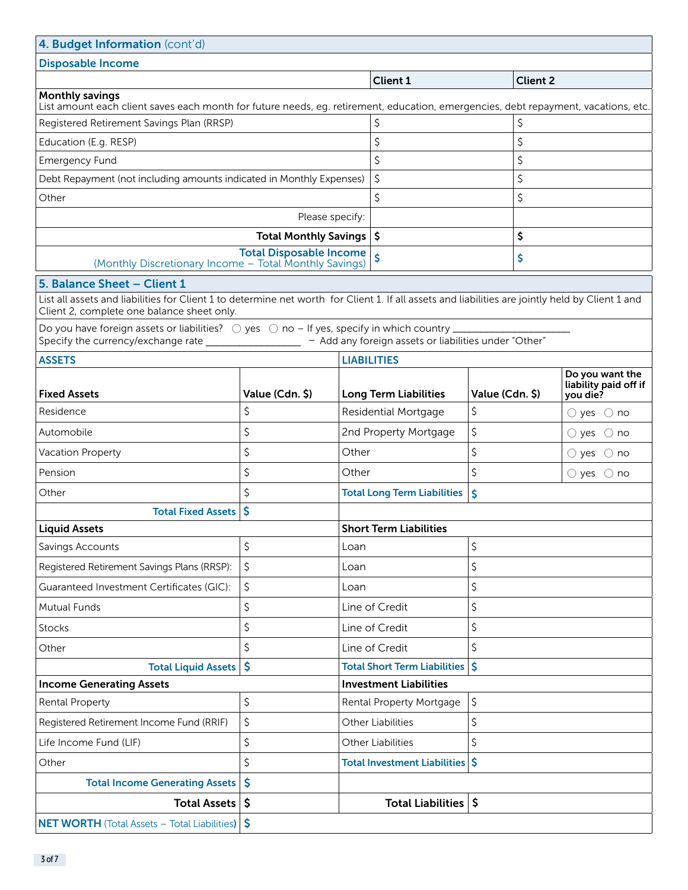| 4. Budget Information (cont'd)                                                                                                                                                                 |                                |                 |                                                       |                 |    |                                                      |  |
|------------------------------------------------------------------------------------------------------------------------------------------------------------------------------------------------|--------------------------------|-----------------|-------------------------------------------------------|-----------------|----|------------------------------------------------------|--|
| <b>Disposable Income</b>                                                                                                                                                                       |                                |                 |                                                       |                 |    |                                                      |  |
|                                                                                                                                                                                                |                                | <b>Client 1</b> |                                                       | <b>Client 2</b> |    |                                                      |  |
| <b>Monthly savings</b><br>List amount each client saves each month for future needs, eg. retirement, education, emergencies, debt repayment, vacations, etc.                                   |                                |                 |                                                       |                 |    |                                                      |  |
| Registered Retirement Savings Plan (RRSP)                                                                                                                                                      |                                |                 | \$                                                    |                 | \$ |                                                      |  |
| Education (E.g. RESP)                                                                                                                                                                          |                                |                 | \$                                                    |                 | \$ |                                                      |  |
| <b>Emergency Fund</b>                                                                                                                                                                          |                                |                 | \$                                                    |                 | \$ |                                                      |  |
| Debt Repayment (not including amounts indicated in Monthly Expenses)                                                                                                                           |                                |                 | \$                                                    |                 | \$ |                                                      |  |
| Other                                                                                                                                                                                          |                                |                 | \$                                                    |                 | \$ |                                                      |  |
|                                                                                                                                                                                                | Please specify:                |                 |                                                       |                 |    |                                                      |  |
|                                                                                                                                                                                                | <b>Total Monthly Savings</b>   |                 | \$ ا                                                  |                 | \$ |                                                      |  |
| (Monthly Discretionary Income - Total Monthly Savings)                                                                                                                                         | <b>Total Disposable Income</b> |                 |                                                       |                 | \$ |                                                      |  |
| 5. Balance Sheet - Client 1                                                                                                                                                                    |                                |                 |                                                       |                 |    |                                                      |  |
| List all assets and liabilities for Client 1 to determine net worth for Client 1. If all assets and liabilities are jointly held by Client 1 and<br>Client 2, complete one balance sheet only. |                                |                 |                                                       |                 |    |                                                      |  |
| Specify the currency/exchange rate                                                                                                                                                             |                                |                 | - Add any foreign assets or liabilities under "Other" |                 |    |                                                      |  |
| <b>ASSETS</b>                                                                                                                                                                                  |                                |                 | <b>LIABILITIES</b>                                    |                 |    |                                                      |  |
| <b>Fixed Assets</b>                                                                                                                                                                            | Value (Cdn. \$)                |                 | <b>Long Term Liabilities</b>                          | Value (Cdn. \$) |    | Do you want the<br>liability paid off if<br>you die? |  |
| Residence                                                                                                                                                                                      | \$                             |                 | <b>Residential Mortgage</b>                           | \$              |    | $\bigcirc$ yes $\bigcirc$ no                         |  |
| Automobile                                                                                                                                                                                     | \$                             |                 | 2nd Property Mortgage                                 | \$              |    | $\bigcirc$ yes $\bigcirc$ no                         |  |
| Vacation Property                                                                                                                                                                              | \$                             | Other           |                                                       | \$              |    | $\bigcirc$ yes<br>$\bigcirc$ no                      |  |
| Pension                                                                                                                                                                                        | \$                             | Other           |                                                       | \$              |    | $\bigcirc$ yes $\bigcirc$ no                         |  |
| Other                                                                                                                                                                                          | \$                             |                 | <b>Total Long Term Liabilities</b>                    | Ś               |    |                                                      |  |
| <b>Total Fixed Assets</b>                                                                                                                                                                      | \$                             |                 |                                                       |                 |    |                                                      |  |
| <b>Liquid Assets</b>                                                                                                                                                                           |                                |                 | <b>Short Term Liabilities</b>                         |                 |    |                                                      |  |
| Savings Accounts                                                                                                                                                                               | \$                             | Loan            |                                                       | \$              |    |                                                      |  |
| Registered Retirement Savings Plans (RRSP):                                                                                                                                                    | \$                             | Loan            |                                                       | \$              |    |                                                      |  |
| Guaranteed Investment Certificates (GIC):                                                                                                                                                      | \$                             | Loan            |                                                       | \$              |    |                                                      |  |
| <b>Mutual Funds</b>                                                                                                                                                                            | \$                             | Line of Credit  |                                                       | \$              |    |                                                      |  |
| <b>Stocks</b>                                                                                                                                                                                  | \$                             | Line of Credit  |                                                       | \$              |    |                                                      |  |
| Other                                                                                                                                                                                          | \$                             |                 | Line of Credit<br>\$                                  |                 |    |                                                      |  |
| <b>Total Liquid Assets</b>                                                                                                                                                                     | \$                             |                 | <b>Total Short Term Liabilities</b>                   | \$              |    |                                                      |  |
| <b>Income Generating Assets</b>                                                                                                                                                                |                                |                 | <b>Investment Liabilities</b>                         |                 |    |                                                      |  |
| \$<br>Rental Property                                                                                                                                                                          |                                |                 | \$<br>Rental Property Mortgage                        |                 |    |                                                      |  |
| \$<br>Registered Retirement Income Fund (RRIF)                                                                                                                                                 |                                |                 | <b>Other Liabilities</b>                              | \$              |    |                                                      |  |
| \$<br>Life Income Fund (LIF)                                                                                                                                                                   |                                |                 | <b>Other Liabilities</b>                              | \$              |    |                                                      |  |
| Other                                                                                                                                                                                          | \$                             |                 | Total Investment Liabilities \$                       |                 |    |                                                      |  |
| <b>Total Income Generating Assets</b>                                                                                                                                                          | \$                             |                 |                                                       |                 |    |                                                      |  |
| <b>Total Assets</b>                                                                                                                                                                            | \$                             |                 | <b>Total Liabilities</b>                              | \$              |    |                                                      |  |
| <b>NET WORTH</b> (Total Assets - Total Liabilities)                                                                                                                                            | \$                             |                 |                                                       |                 |    |                                                      |  |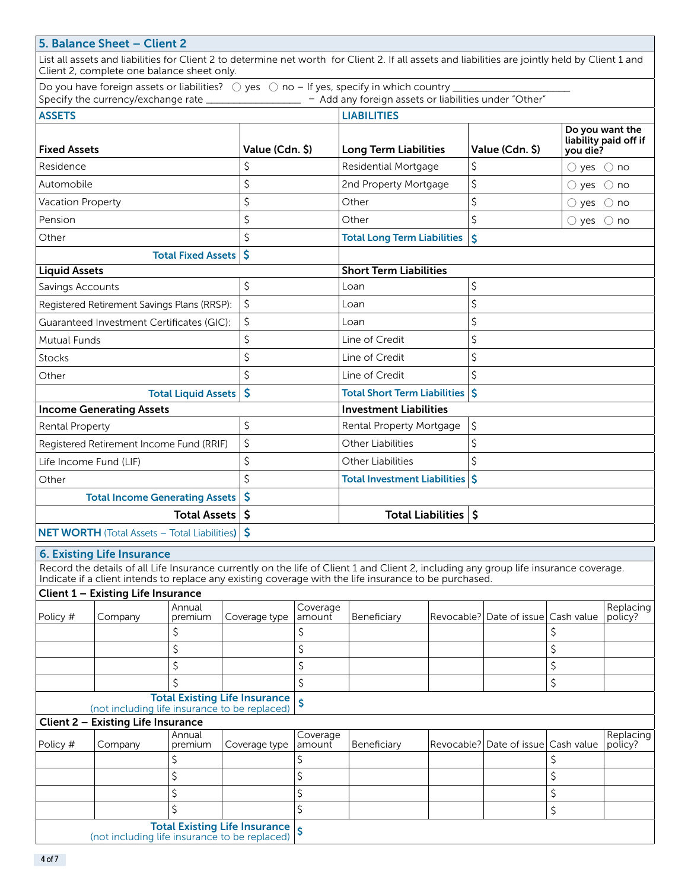|                                        | 5. Balance Sheet - Client 2                                                         |                                            |               |                               | List all assets and liabilities for Client 2 to determine net worth for Client 2. If all assets and liabilities are jointly held by Client 1 and                                                                                                |                                |                              |                                          |                      |
|----------------------------------------|-------------------------------------------------------------------------------------|--------------------------------------------|---------------|-------------------------------|-------------------------------------------------------------------------------------------------------------------------------------------------------------------------------------------------------------------------------------------------|--------------------------------|------------------------------|------------------------------------------|----------------------|
|                                        | Client 2, complete one balance sheet only.                                          |                                            |               |                               | Do you have foreign assets or liabilities? $\bigcirc$ yes $\bigcirc$ no - If yes, specify in which country _<br>Specify the currency/exchange rate ___________________ - Add any foreign assets or liabilities under "Other"                    |                                |                              |                                          |                      |
| <b>ASSETS</b>                          |                                                                                     |                                            |               |                               | <b>LIABILITIES</b>                                                                                                                                                                                                                              |                                |                              |                                          |                      |
| <b>Fixed Assets</b><br>Value (Cdn. \$) |                                                                                     |                                            |               | <b>Long Term Liabilities</b>  |                                                                                                                                                                                                                                                 | Value (Cdn. \$)                | you die?                     | Do you want the<br>liability paid off if |                      |
| \$<br>Residence                        |                                                                                     |                                            |               |                               | Residential Mortgage                                                                                                                                                                                                                            | \$                             |                              | $\bigcirc$ yes $\bigcirc$ no             |                      |
| Automobile                             |                                                                                     | \$                                         |               | 2nd Property Mortgage         | \$                                                                                                                                                                                                                                              |                                | $()$ yes                     | $\bigcirc$ no                            |                      |
| Vacation Property                      |                                                                                     | \$                                         |               | Other                         | \$                                                                                                                                                                                                                                              |                                | $\bigcirc$ yes $\bigcirc$ no |                                          |                      |
| Pension                                |                                                                                     |                                            | \$            |                               | Other                                                                                                                                                                                                                                           | \$                             |                              | $\bigcirc$ yes                           | $\bigcirc$ no        |
| Other                                  |                                                                                     | <b>Total Fixed Assets</b>                  | \$<br>\$      |                               | <b>Total Long Term Liabilities</b>                                                                                                                                                                                                              | Ś                              |                              |                                          |                      |
| <b>Liquid Assets</b>                   |                                                                                     |                                            |               |                               | <b>Short Term Liabilities</b>                                                                                                                                                                                                                   |                                |                              |                                          |                      |
| Savings Accounts                       |                                                                                     |                                            | \$            |                               | Loan                                                                                                                                                                                                                                            | \$                             |                              |                                          |                      |
|                                        | Registered Retirement Savings Plans (RRSP):                                         |                                            | \$            |                               | Loan                                                                                                                                                                                                                                            | \$                             |                              |                                          |                      |
|                                        | Guaranteed Investment Certificates (GIC):                                           |                                            | \$            |                               | Loan                                                                                                                                                                                                                                            | \$                             |                              |                                          |                      |
| <b>Mutual Funds</b>                    |                                                                                     |                                            | \$            |                               | Line of Credit                                                                                                                                                                                                                                  | \$                             |                              |                                          |                      |
| <b>Stocks</b>                          |                                                                                     |                                            | \$            |                               | Line of Credit                                                                                                                                                                                                                                  | \$                             |                              |                                          |                      |
| Other                                  |                                                                                     |                                            | \$            |                               | Line of Credit                                                                                                                                                                                                                                  | \$                             |                              |                                          |                      |
|                                        | <b>Total Liquid Assets</b>                                                          |                                            | \$            |                               | \$<br><b>Total Short Term Liabilities</b>                                                                                                                                                                                                       |                                |                              |                                          |                      |
| <b>Income Generating Assets</b>        |                                                                                     |                                            |               | <b>Investment Liabilities</b> |                                                                                                                                                                                                                                                 |                                |                              |                                          |                      |
| <b>Rental Property</b>                 |                                                                                     | \$                                         |               | Rental Property Mortgage      | \$                                                                                                                                                                                                                                              |                                |                              |                                          |                      |
|                                        | Registered Retirement Income Fund (RRIF)                                            |                                            | \$            |                               | <b>Other Liabilities</b>                                                                                                                                                                                                                        | \$                             |                              |                                          |                      |
|                                        | Life Income Fund (LIF)                                                              |                                            | \$            |                               | <b>Other Liabilities</b>                                                                                                                                                                                                                        | \$                             |                              |                                          |                      |
| Other                                  |                                                                                     |                                            | \$            |                               | Total Investment Liabilities \$                                                                                                                                                                                                                 |                                |                              |                                          |                      |
|                                        | <b>Total Income Generating Assets</b>                                               |                                            | \$            |                               |                                                                                                                                                                                                                                                 |                                |                              |                                          |                      |
|                                        |                                                                                     | <b>Total Assets</b>                        | \$            |                               |                                                                                                                                                                                                                                                 | <b>Total Liabilities</b><br>\$ |                              |                                          |                      |
|                                        | <b>NET WORTH</b> (Total Assets - Total Liabilities)                                 |                                            | \$            |                               |                                                                                                                                                                                                                                                 |                                |                              |                                          |                      |
|                                        | <b>6. Existing Life Insurance</b>                                                   |                                            |               |                               | Record the details of all Life Insurance currently on the life of Client 1 and Client 2, including any group life insurance coverage.<br>Indicate if a client intends to replace any existing coverage with the life insurance to be purchased. |                                |                              |                                          |                      |
|                                        | <b>Client 1 - Existing Life Insurance</b>                                           |                                            |               |                               |                                                                                                                                                                                                                                                 |                                |                              |                                          |                      |
|                                        |                                                                                     | Annual                                     |               | Coverage                      |                                                                                                                                                                                                                                                 |                                |                              |                                          | Replacing            |
| Policy #                               | Company                                                                             | premium<br>\$                              | Coverage type | amount<br>\$                  | Beneficiary                                                                                                                                                                                                                                     |                                | Revocable? Date of issue     | Cash value<br>\$                         | policy?              |
|                                        |                                                                                     | \$                                         |               | \$                            |                                                                                                                                                                                                                                                 |                                |                              | \$                                       |                      |
|                                        |                                                                                     | \$                                         |               | \$                            |                                                                                                                                                                                                                                                 |                                |                              | \$                                       |                      |
|                                        |                                                                                     | \$                                         |               | \$                            |                                                                                                                                                                                                                                                 |                                |                              | \$                                       |                      |
|                                        |                                                                                     | <b>Total Existing Life Insurance</b>       |               | Ś                             |                                                                                                                                                                                                                                                 |                                |                              |                                          |                      |
|                                        | (not including life insurance to be replaced)<br>Client 2 - Existing Life Insurance |                                            |               |                               |                                                                                                                                                                                                                                                 |                                |                              |                                          |                      |
| Policy #                               | Company                                                                             | Annual<br>premium                          | Coverage type | Coverage<br>amount            | Beneficiary                                                                                                                                                                                                                                     | Revocable?                     | Date of issue                | Cash value                               | Replacing<br>policy? |
|                                        |                                                                                     | \$                                         |               | \$                            |                                                                                                                                                                                                                                                 |                                |                              | \$                                       |                      |
|                                        |                                                                                     | \$                                         |               | \$                            |                                                                                                                                                                                                                                                 |                                |                              | \$                                       |                      |
|                                        |                                                                                     | \$                                         |               | \$                            |                                                                                                                                                                                                                                                 |                                |                              | \$                                       |                      |
|                                        |                                                                                     | \$<br><b>Total Existing Life Insurance</b> |               | \$                            |                                                                                                                                                                                                                                                 |                                |                              | \$                                       |                      |
|                                        | (not including life insurance to be replaced)                                       |                                            |               | $\overline{\mathsf{s}}$       |                                                                                                                                                                                                                                                 |                                |                              |                                          |                      |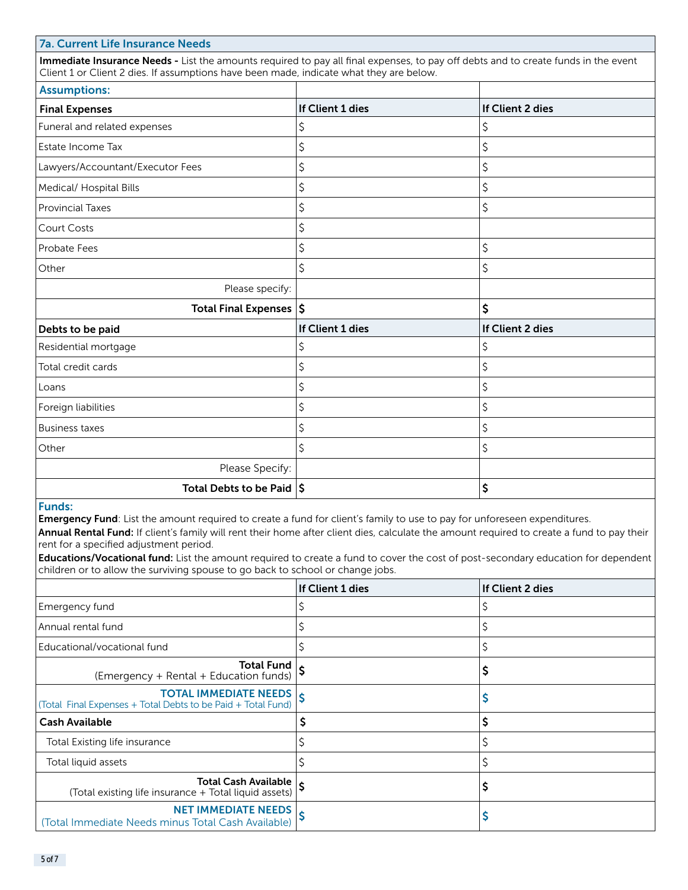### 7a. Current Life Insurance Needs

Immediate Insurance Needs - List the amounts required to pay all final expenses, to pay off debts and to create funds in the event Client 1 or Client 2 dies. If assumptions have been made, indicate what they are below.

| <b>Assumptions:</b>                         |                  |                  |
|---------------------------------------------|------------------|------------------|
| <b>Final Expenses</b>                       | If Client 1 dies | If Client 2 dies |
| Funeral and related expenses                | \$               | \$               |
| Estate Income Tax                           | \$               | \$               |
| Lawyers/Accountant/Executor Fees            | \$               | \$               |
| Medical/ Hospital Bills                     | \$               | \$               |
| <b>Provincial Taxes</b>                     | \$               | \$               |
| <b>Court Costs</b>                          | \$               |                  |
| Probate Fees                                | \$               | \$               |
| Other                                       | \$               | \$               |
| Please specify:                             |                  |                  |
| Total Final Expenses $ \boldsymbol{\xi} $   |                  | \$               |
| Debts to be paid                            | If Client 1 dies | If Client 2 dies |
| Residential mortgage                        | \$               | \$               |
| Total credit cards                          | \$               | \$               |
| Loans                                       | \$               | \$               |
| Foreign liabilities                         | \$               | \$               |
| <b>Business taxes</b>                       | \$               | \$               |
| Other                                       | \$               | \$               |
| Please Specify:                             |                  |                  |
| Total Debts to be Paid $ \boldsymbol{\xi} $ |                  | \$               |

# Funds:

Emergency Fund: List the amount required to create a fund for client's family to use to pay for unforeseen expenditures.

Annual Rental Fund: If client's family will rent their home after client dies, calculate the amount required to create a fund to pay their rent for a specified adjustment period.

Educations/Vocational fund: List the amount required to create a fund to cover the cost of post-secondary education for dependent children or to allow the surviving spouse to go back to school or change jobs.

|                                                                                       | If Client 1 dies | If Client 2 dies |
|---------------------------------------------------------------------------------------|------------------|------------------|
| Emergency fund                                                                        |                  |                  |
| Annual rental fund                                                                    |                  |                  |
| Educational/vocational fund                                                           |                  |                  |
| Total Fund $\vert_{\mathsf{c}}$<br>(Emergency + Rental + Education funds)             |                  |                  |
| TOTAL IMMEDIATE NEEDS<br>(Total Final Expenses + Total Debts to be Paid + Total Fund) |                  |                  |
| <b>Cash Available</b>                                                                 |                  |                  |
| Total Existing life insurance                                                         |                  |                  |
| Total liquid assets                                                                   |                  |                  |
| Total Cash Available  <br>(Total existing life insurance + Total liquid assets)       |                  |                  |
| <b>NET IMMEDIATE NEEDS</b><br>(Total Immediate Needs minus Total Cash Available)      |                  |                  |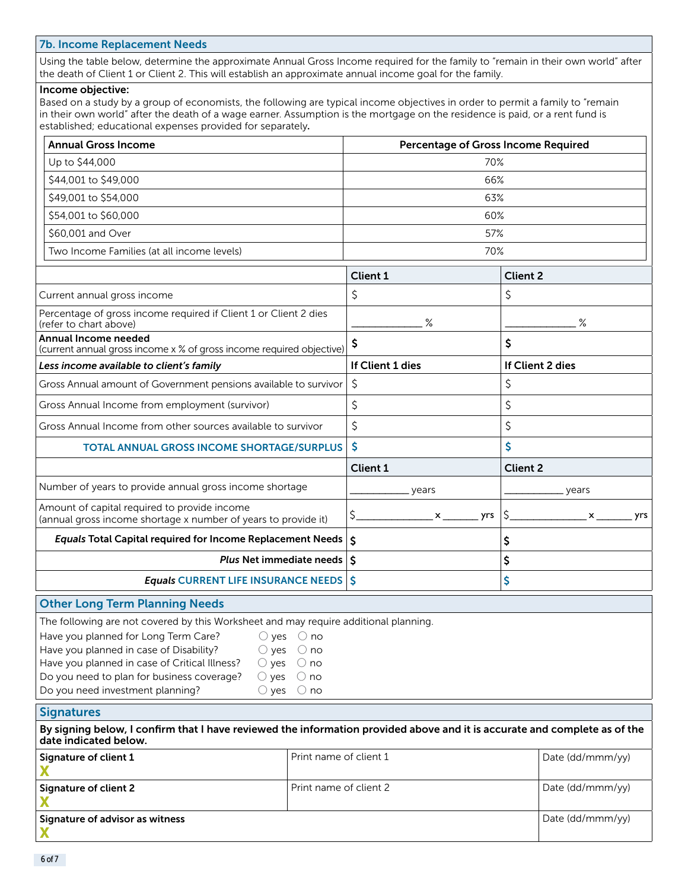#### 7b. Income Replacement Needs

Using the table below, determine the approximate Annual Gross Income required for the family to "remain in their own world" after the death of Client 1 or Client 2. This will establish an approximate annual income goal for the family.

#### Income objective:

Based on a study by a group of economists, the following are typical income objectives in order to permit a family to "remain in their own world" after the death of a wage earner. Assumption is the mortgage on the residence is paid, or a rent fund is established; educational expenses provided for separately.

| <b>Annual Gross Income</b>                                                                                     | <b>Percentage of Gross Income Required</b> |                  |  |  |
|----------------------------------------------------------------------------------------------------------------|--------------------------------------------|------------------|--|--|
| Up to \$44,000                                                                                                 | 70%                                        |                  |  |  |
| \$44,001 to \$49,000                                                                                           | 66%                                        |                  |  |  |
| \$49,001 to \$54,000                                                                                           | 63%                                        |                  |  |  |
| \$54,001 to \$60,000                                                                                           | 60%                                        |                  |  |  |
| \$60,001 and Over                                                                                              | 57%                                        |                  |  |  |
| Two Income Families (at all income levels)                                                                     | 70%                                        |                  |  |  |
|                                                                                                                | <b>Client 1</b>                            | <b>Client 2</b>  |  |  |
| Current annual gross income                                                                                    | \$                                         | \$               |  |  |
| Percentage of gross income required if Client 1 or Client 2 dies<br>(refer to chart above)                     | $\%$                                       | $\%$             |  |  |
| Annual Income needed<br>(current annual gross income x % of gross income required objective)                   | \$                                         | \$               |  |  |
| Less income available to client's family                                                                       | If Client 1 dies                           | If Client 2 dies |  |  |
| Gross Annual amount of Government pensions available to survivor                                               | \$                                         | \$               |  |  |
| Gross Annual Income from employment (survivor)                                                                 | \$                                         | \$               |  |  |
| Gross Annual Income from other sources available to survivor                                                   | \$                                         | \$               |  |  |
| <b>TOTAL ANNUAL GROSS INCOME SHORTAGE/SURPLUS</b>                                                              | \$                                         | \$               |  |  |
|                                                                                                                | Client 1                                   | <b>Client 2</b>  |  |  |
| Number of years to provide annual gross income shortage                                                        | years                                      | years            |  |  |
| Amount of capital required to provide income<br>(annual gross income shortage x number of years to provide it) | \$<br>yrs<br>x                             | \$<br>yrs<br>x   |  |  |
| <b>Equals Total Capital required for Income Replacement Needs</b>                                              | \$                                         | Ş                |  |  |
| Plus Net immediate needs   \$                                                                                  |                                            | \$               |  |  |
| <b>Equals CURRENT LIFE INSURANCE NEEDS \$</b>                                                                  |                                            | \$               |  |  |
| <b>Other Long Term Planning Needs</b>                                                                          |                                            |                  |  |  |
| The following are not covered by this Worksheet and may require additional planning.                           |                                            |                  |  |  |
| Have you planned for Long Term Care?<br>$\bigcirc$ no<br>$\bigcirc$ yes                                        |                                            |                  |  |  |
| Have you planned in case of Disability?<br>$\bigcirc$ yes<br>$\bigcirc$ no                                     |                                            |                  |  |  |
| Have you planned in case of Critical Illness?<br>$\bigcirc$ yes<br>$\bigcirc$ no                               |                                            |                  |  |  |
| Do you need to plan for business coverage?<br>$\bigcirc$ yes<br>$\bigcirc$ no                                  |                                            |                  |  |  |

#### **Signatures**

Do you need investment planning?  $\bigcirc$  yes  $\bigcirc$  no

By signing below, I confirm that I have reviewed the information provided above and it is accurate and complete as of the date indicated below.

| Signature of client 1           | Print name of client 1 | Date (dd/mmm/yy) |
|---------------------------------|------------------------|------------------|
| Signature of client 2           | Print name of client 2 | Date (dd/mmm/yy) |
| Signature of advisor as witness |                        | Date (dd/mmm/yy) |
|                                 |                        |                  |